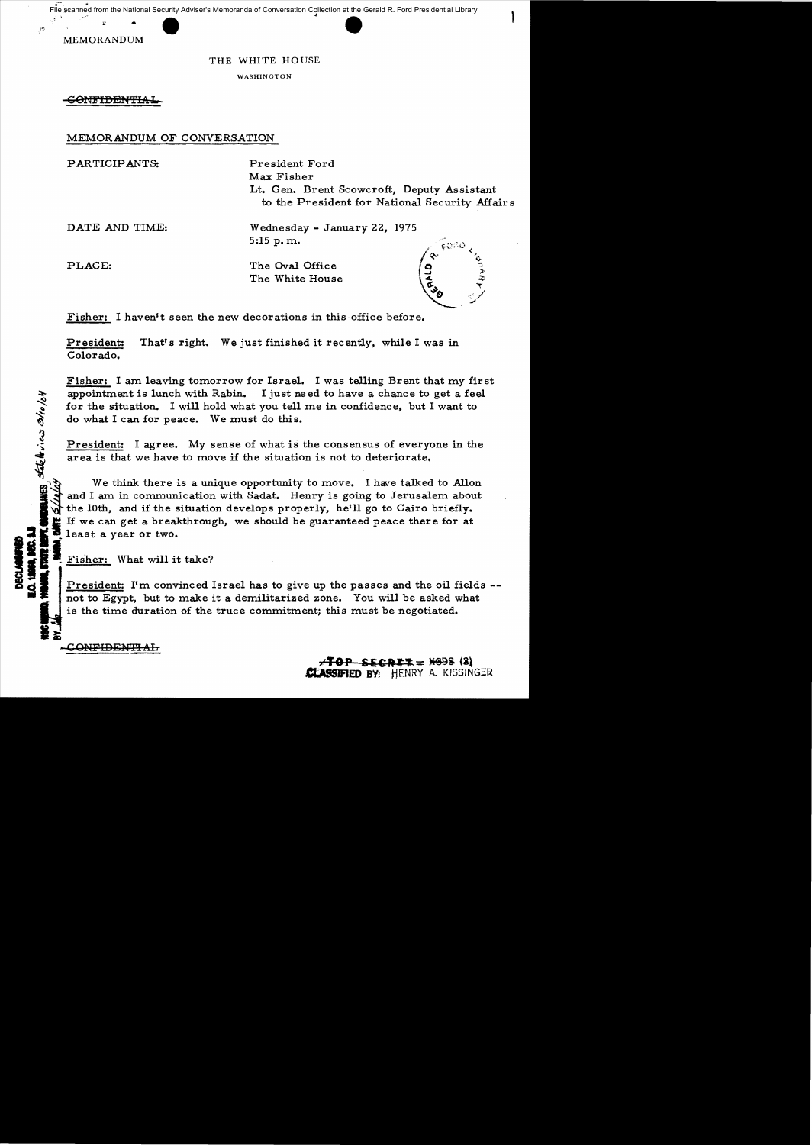File scanned from the National Security Adviser's Memoranda of Conversation Collection at the Gerald R. Ford Presidential Library



•

## THE WHITE HOUSE

WASHINGTON

<del>-CONFIDENTIAL</del>

MEMORANDUM OF CONVERSATION

PARTICIPANTS: President Ford

Max Fisher Lt. Gen. Brent Scowcroft, Deputy Assistant to the President for National Security Affairs

DATE AND TIME: Wednesday - January 22, 1975 5:15 p. m.

televicis

 $\sigma$ 

PLACE: The Oval Office The White House

Fisher: I haven't seen the new decorations in this office before.

President: That's right. We just finished it recently, while I was in Colorado.

Fisher: I am leaving tomorrow for Israel. I was telling Brent that my first appointment is lunch with Rabin. I just need to have a chance to get a feel for the situation. I will hold what you tell me in confidence, but I want to do what I can for peace. We must do this.

President: I agree. My sense of what is the consensus of everyone in the area is that we have to move if the situation is not to deteriorate.

**PL CHECHAIES**<br>Dirte S/14/4 We think there is a unique opportunity to move. I have talked to Allon and I am in communication with Sadat. Henry is going to Jerusalem about the 10th, and if the situation develops properly, he'll go to Cairo briefly. If we can get a breakthrough, we should be guaranteed peace there for at least a year or two.

**Fisher:** What will it take?<br>President: I'm convinced Israel has to give up the passes and the oil fields -not to Egypt, but to make it a demilitarized zone. You will be asked what is the time duration of the truce commitment; this must be negotiated.

in a se C ONFIDENT<del>IAL</del>

**"TOP SiC,.,.... =** ~s **(al ct.WSlFJED BY:** HENRY A. KISSINGER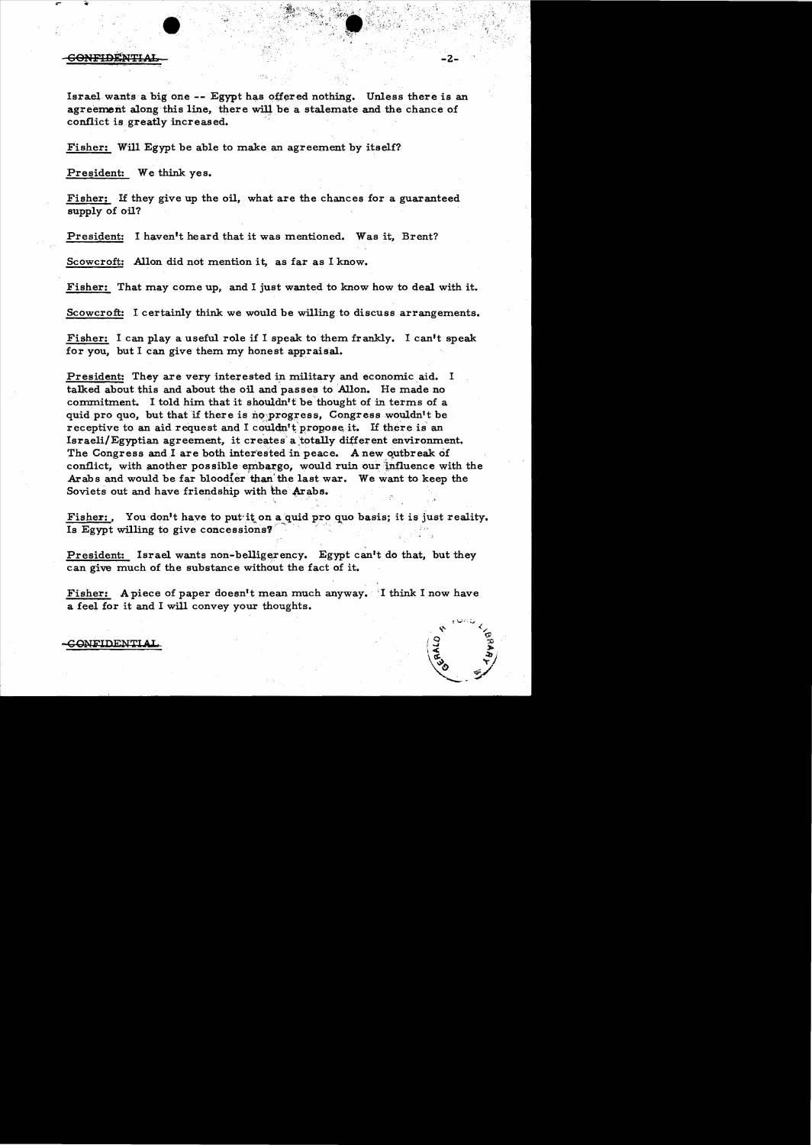## **SONFIDENTIA**

Israel wants a big one -- Egypt has offered nothing. Unless there is an agreement along this line, there will be a stalemate and the chance of conflict is greatly increased.

Fisher: Will Egypt be able to make an agreement by itself?

President: We think yes.

Fisher: If they give up the oil, what are the chances for a guaranteed supply of oil?

President: I haven't heard that it was mentioned. Was it, Brent?

Scowcroft: Allon did not mention it, as far as I know.

Fisher: That may come up, and I just wanted to know how to deal with it.

Scowcroft: I certainly think we would be willing to discuss arrangements.

Fisher: I can play a useful role if I speak to them frankly. I can't speak for you, but I can give them my honest appraisal.

President: They are very interested in military and economic aid. I talked about this and about the oil and passes to Allon. He made no commitment. I told him that it shouldn't be thought of in terms of a quid pro quo, but that if there is no progress, Congress wouldn't be receptive to an aid request and I couldn't propose it. If there is an Israeli/Egyptian agreement, it creates a totally different environment. The Congress and I are both interested in peace. A new outbreak of conflict, with another possible embargo, would ruin our influence with the Arabs and would be far bloodier than the last war. We want to keep the Soviets out and have friendship with the Arabs.

Fisher: You don't have to put it on a quid pro quo basis; it is just reality. Is Egypt willing to give concessions?

President: Israel wants non-belligerency. Egypt can't do that, but they can give much of the substance without the fact of it.

Fisher: A piece of paper doesn't mean much anyway. I think I now have a feel for it and I will convey your thoughts.

**CONFIDENTIAL**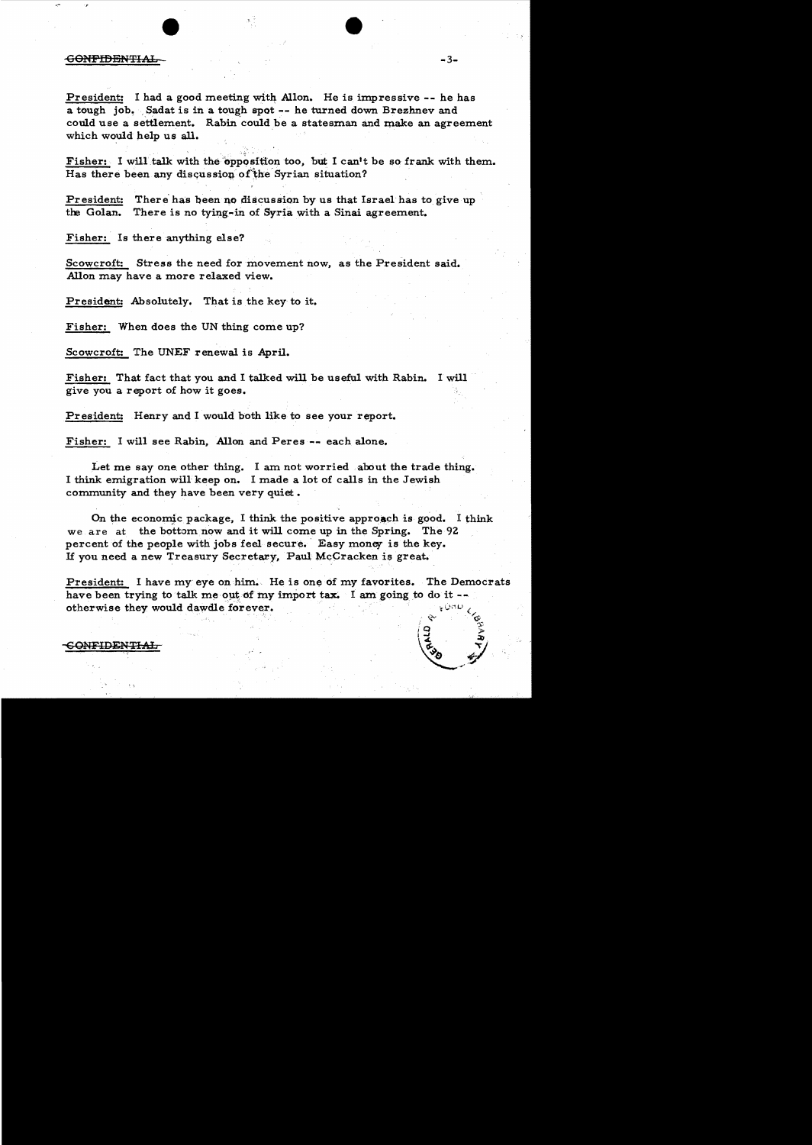## **GONFIDENTIAL**

President: I had a good meeting with Allon. He is impressive -- he has a tough job. Sadat is in a tough spot -- he turned down Brezhnev and could use a settlement. Rabin could be a statesman and make an agreement which would help us all.

Fisher: I will talk with the opposition too, but I can't be so frank with them. Has there been any discussion of the Syrian situation?

President: There has been no discussion by us that Israel has to give up the Golan. There is no tying-in of Syria with a Sinai agreement.

Fisher: Is there anything else?

Scowcroft: Stress the need for movement now, as the President said. Allon may have a more relaxed view.

President: Absolutely. That is the key to it.

Fisher: When does the UN thing come up?

Scowcroft: The UNEF renewal is April.

Fisher: That fact that you and I talked will be useful with Rabin. 1 will give you a report of how it goes.

President: Henry and I would both like to see your report.

Fisher: I will see Rabin, Allon and Peres -- each alone.

Let me say one other thing. I am not worried about the trade thing. I think emigration willkeep on. I made a lot of calls in the Jewish community and they have been very quiet.

On the economic package, I think the positive approach is good. I think we are at the bottom now and it will come up in the Spring. The 9Z percent of the people with jobs feel secure. Easy money is the key. If you need a new Treasury Secretary, Paul McCracken is great. , '이 아이들은 이 후 아이들의 사람들이 그 후 후 하나 아이들이 아니다.

President: I have my eye on him. He is one of my favorites. The Democrats have been trying to talk me out of my import tax. I am going to do it otherwise they would dawdle forever.

 $\rm \sim$   $\rm \sim$ 

 $\sqrt{9}$   $\sqrt{3}$ 

 $\sim$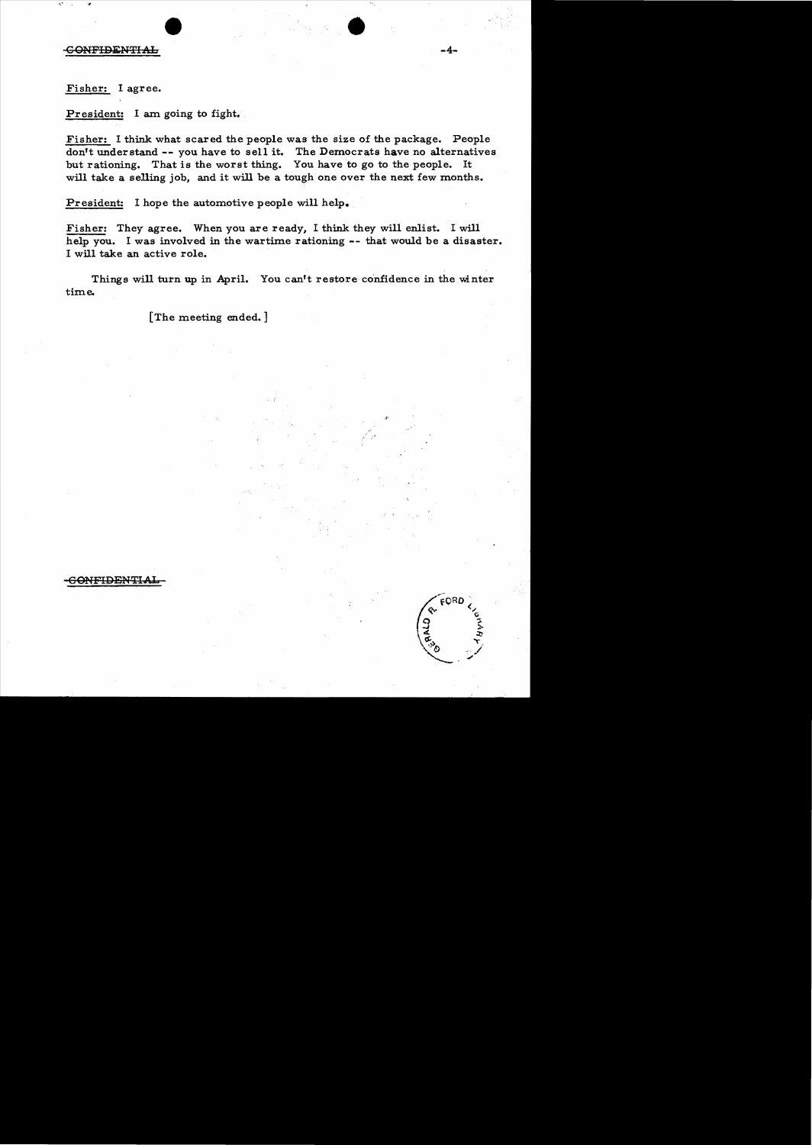Fisher: I agree.

Pr esident: I am going to fight.

Fisher: I think what scared the people was the size of the package. People don't understand **--** you have to sell it. The Democrats have no alternatives but rationing. That is the worst thing. You have to go to the people. It will take a selling job, and it will be a tough one over the next few months.

•

**-4**

President: I hope the automotive people will help.

Fisher: They agree. When you are ready, I think they will enlist. I will help you. I was involved in the wartime rationing -- that would be a disaster. I will take an active role.

Things will turn up in April. You can't restore confidence in the winter time.

[The meeting ended.]



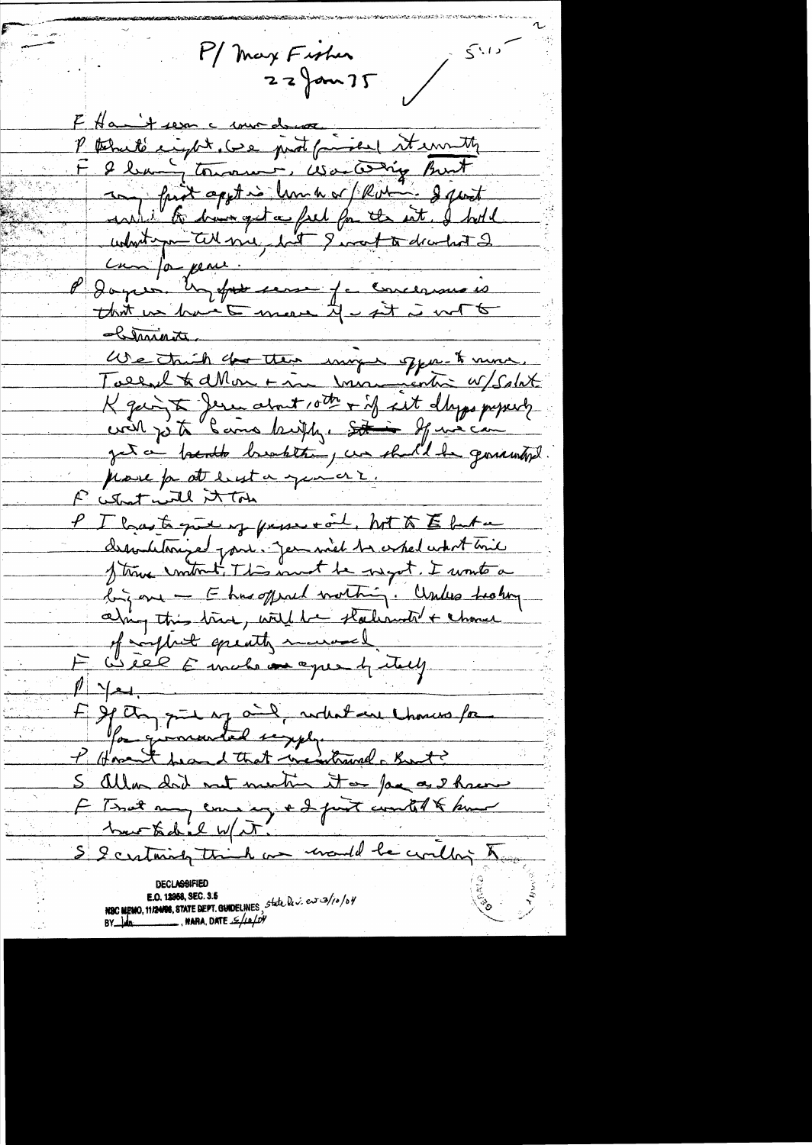My Fisher  $22$  fom  $75$   $54.12$ 

F Hamit sem a mirdeman P termité import les prot faisent it enruite I bang toward, Wartering But any fait apptie lumb or Robin - I just understand tell mil , but I want to decortest 2 can ja pens. Days un fut mes fa concernais that we have to meaner if i set is not to Chiminity We trich de thes inger oppe to more. Kgain & Jesu about 10th + if sit days preparty get a breakte brakten, un shall be germantipl prove for att least a general. Futurt will it ton P. I has to guess of person tool, hot to E but a dessondetoringed point. Jem mich to expedictor line Strong control. This must be one got. I write a big one - E has offered morting. Unless healing aling this true, with he shallanded + chance of morphit equality marroral Well Emalo as exercity  $1 - 2$ E If any put of and nother thousand for Pour givenanted segger S allow did not mention it on face as I have E Tout my course, ed prot coutélé sur S & certainly think as unand be couldn't to NSC MEMO, 11/24/08, STATE DEPT. GUIDELINES, state  $\mu \times e \nu$  3/10/04

NARA, DATE JE/LI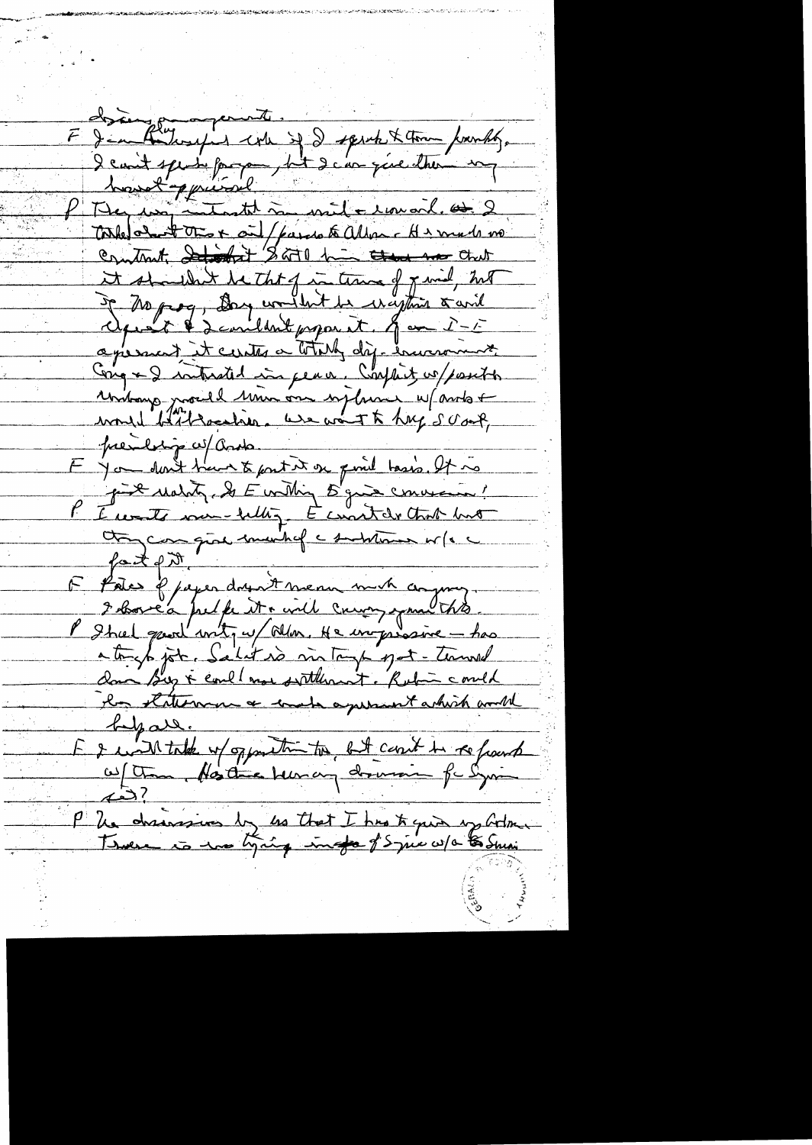E de Constant entre de ses faits de la partie de la fait de la fait de la fait de la fait de la fait de la fait de la fait de la fait de la fait de la fait de la fait de la fait de la fait de la fait de la fait de la fait P Mer un internet à mile rouail et 2 it shouldn't be that of in time of y wid, hill De Morog, Day wouldn't be reception & avid agreement it cantes a totally dif-encourant Cong + 2 interacted in peace, Conflict w/position rentang proced university desire up antot prendre co/ Ords<br>En you dont trans & parties en point taxés. It is presiliting w/ ands. put Mality & E withing 5 gives convenien! PE water me belling. E constat that hat they can give much of a substitution or for a  $f$ atent F Potes & paper dry it mean much compruy 2 borca pulpe et a will cause expose this P Shal gaoul with w/ Alm. He inprosince - has atoright job. Salit is mitoup pot-towned la stationne & make a present which would <u>Lyare.</u> E & with take up opposite to but count in refourt P Un drainssion by us that I has to quin y botomen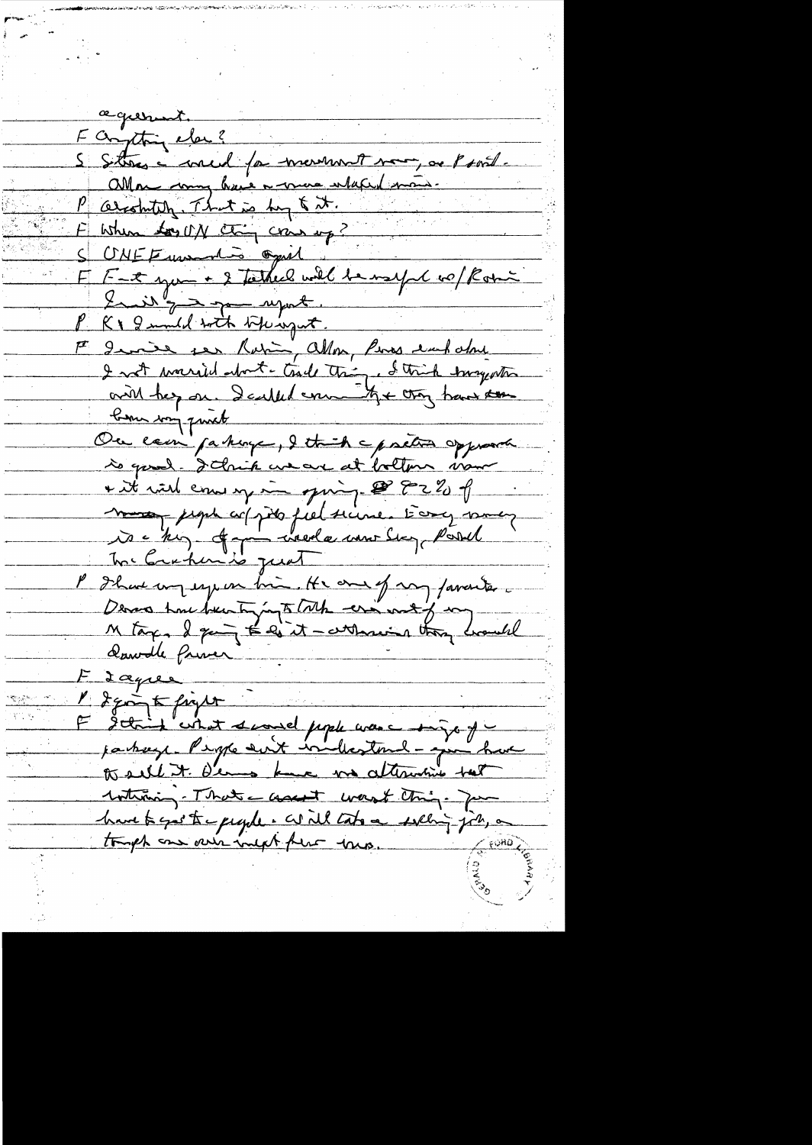agurent F anything elec? S Sitters a concid for mererment mor, as Psort. allow may have a more what ma P arostutely. That is buy & it. F When to UN Ching cran up? CNEF www die opiel F F-x you + 2 tarked will be need to plan Init'<del>y a good report.</del> Kr 2 mild with Whingat. Et derive ser Robin, allow, Pers each about I not warried about - trade thing, I think tragente with her on. I called error the croy have to bonne way quick Ou cam passing, I think a pretion opposite is good. I chik we are at bottom vour + it wish come up in quinq. @ 82% of mes pepe copies piel seine. Evrop may l'Il au mon espera bien He and of my favoriter Derna time been tyingto tothe ering with your conceled Sawdle friver Lagre I going to finger I think what swand pople was - things of jackeye Perple suit included - ju have to sell it. Dema kne va attentive test withining-That asset wast thing. Ja have to gest to people. Will take a welling job, a tough one over inext there were.